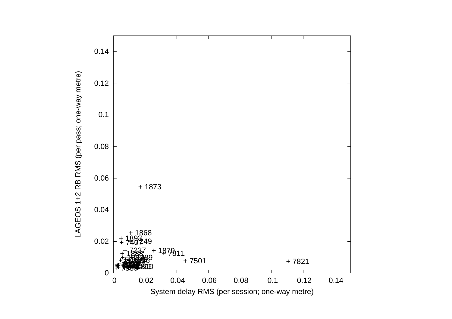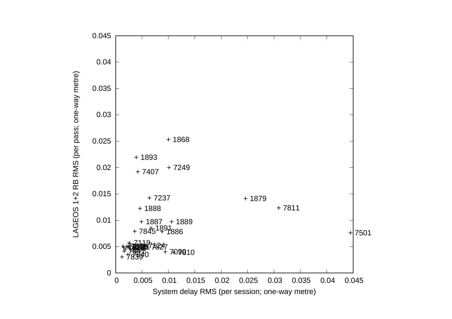